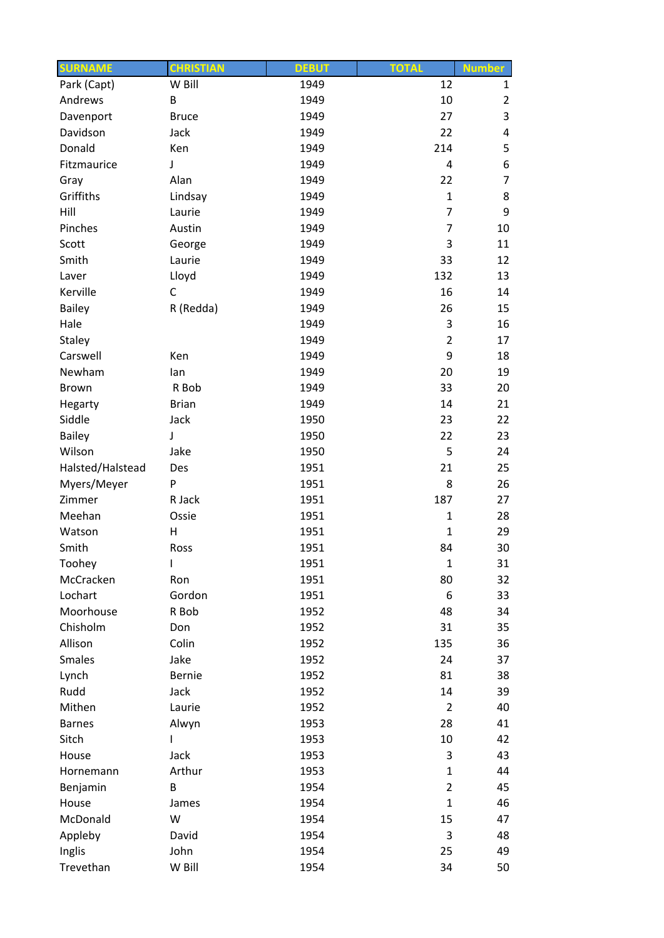| <b>SURNAME</b>   | <b>CHRISTIAN</b> | <b>DEBUT</b> | <b>TOTAL</b>   | <b>Number</b>  |
|------------------|------------------|--------------|----------------|----------------|
| Park (Capt)      | W Bill           | 1949         | 12             | $\mathbf{1}$   |
| Andrews          | B                | 1949         | 10             | $\overline{2}$ |
| Davenport        | <b>Bruce</b>     | 1949         | 27             | 3              |
| Davidson         | Jack             | 1949         | 22             | 4              |
| Donald           | Ken              | 1949         | 214            | 5              |
| Fitzmaurice      | J                | 1949         | 4              | 6              |
| Gray             | Alan             | 1949         | 22             | $\overline{7}$ |
| Griffiths        | Lindsay          | 1949         | $\mathbf{1}$   | 8              |
| Hill             | Laurie           | 1949         | 7              | 9              |
| Pinches          | Austin           | 1949         | $\overline{7}$ | 10             |
| Scott            | George           | 1949         | 3              | 11             |
| Smith            | Laurie           | 1949         | 33             | 12             |
| Laver            | Lloyd            | 1949         | 132            | 13             |
| Kerville         | C                | 1949         | 16             | 14             |
| Bailey           | R (Redda)        | 1949         | 26             | 15             |
| Hale             |                  | 1949         | 3              | 16             |
| Staley           |                  | 1949         | $\overline{2}$ | 17             |
| Carswell         | Ken              | 1949         | 9              | 18             |
| Newham           | lan              | 1949         | 20             | 19             |
| <b>Brown</b>     | R Bob            | 1949         | 33             | 20             |
| Hegarty          | <b>Brian</b>     | 1949         | 14             | 21             |
| Siddle           | Jack             | 1950         | 23             | 22             |
| <b>Bailey</b>    | $\mathsf J$      | 1950         | 22             | 23             |
| Wilson           | Jake             | 1950         | 5              | 24             |
| Halsted/Halstead | Des              | 1951         | 21             | 25             |
| Myers/Meyer      | P                | 1951         | 8              | 26             |
| Zimmer           | R Jack           | 1951         | 187            | 27             |
| Meehan           | Ossie            | 1951         | $\mathbf{1}$   | 28             |
| Watson           | н                | 1951         | $\mathbf 1$    | 29             |
| Smith            | Ross             | 1951         | 84             | 30             |
| Toohey           | $\overline{1}$   | 1951         | $\mathbf{1}$   | 31             |
| McCracken        | Ron              | 1951         | 80             | 32             |
| Lochart          | Gordon           | 1951         | 6              | 33             |
| Moorhouse        | R Bob            | 1952         | 48             | 34             |
| Chisholm         | Don              | 1952         | 31             | 35             |
| Allison          | Colin            | 1952         | 135            | 36             |
| <b>Smales</b>    | Jake             | 1952         | 24             | 37             |
| Lynch            | Bernie           | 1952         | 81             | 38             |
| Rudd             | Jack             | 1952         | 14             | 39             |
| Mithen           | Laurie           | 1952         | $\overline{2}$ | 40             |
| <b>Barnes</b>    | Alwyn            | 1953         | 28             | 41             |
| Sitch            |                  | 1953         | 10             | 42             |
| House            | Jack             | 1953         | 3              | 43             |
| Hornemann        | Arthur           | 1953         | $\mathbf{1}$   | 44             |
| Benjamin         | B                | 1954         | $\overline{2}$ | 45             |
| House            | James            | 1954         | $\mathbf{1}$   | 46             |
| McDonald         | W                | 1954         | 15             | 47             |
| Appleby          | David            | 1954         | 3              | 48             |
| Inglis           | John             | 1954         | 25             | 49             |
| Trevethan        | W Bill           | 1954         | 34             | 50             |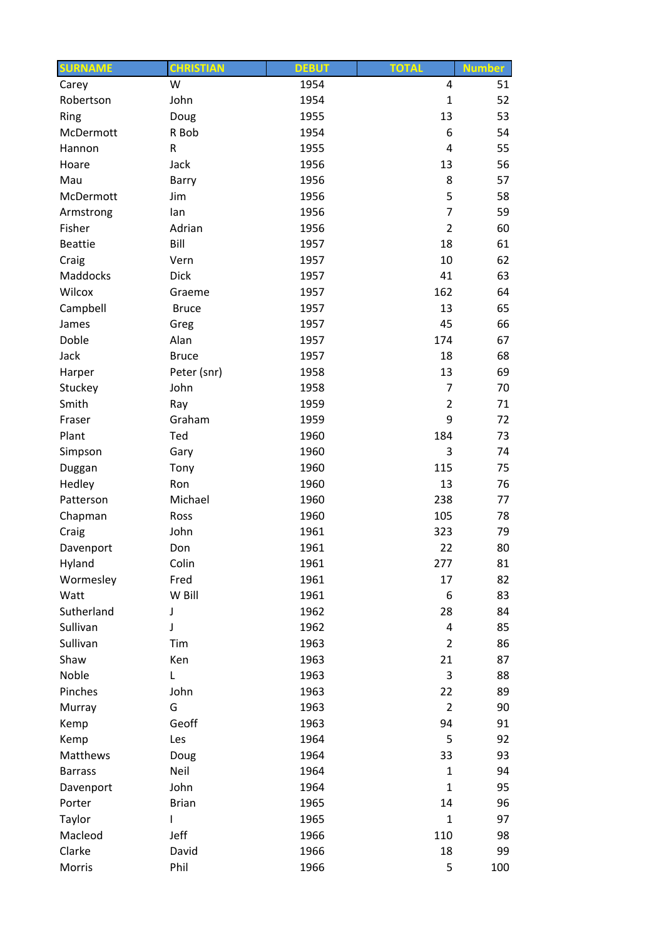| <b>SURNAME</b> | <b>CHRISTIAN</b> | <b>DEBUT</b> | <b>TOTAL</b>   | <b>Number</b> |
|----------------|------------------|--------------|----------------|---------------|
| Carey          | W                | 1954         | 4              | 51            |
| Robertson      | John             | 1954         | $\mathbf 1$    | 52            |
| Ring           | Doug             | 1955         | 13             | 53            |
| McDermott      | R Bob            | 1954         | 6              | 54            |
| Hannon         | R                | 1955         | $\overline{4}$ | 55            |
| Hoare          | Jack             | 1956         | 13             | 56            |
| Mau            | Barry            | 1956         | 8              | 57            |
| McDermott      | Jim              | 1956         | 5              | 58            |
| Armstrong      | lan              | 1956         | $\overline{7}$ | 59            |
| Fisher         | Adrian           | 1956         | $\overline{2}$ | 60            |
| <b>Beattie</b> | Bill             | 1957         | 18             | 61            |
| Craig          | Vern             | 1957         | 10             | 62            |
| Maddocks       | <b>Dick</b>      | 1957         | 41             | 63            |
| Wilcox         | Graeme           | 1957         | 162            | 64            |
| Campbell       | <b>Bruce</b>     | 1957         | 13             | 65            |
| James          | Greg             | 1957         | 45             | 66            |
| Doble          | Alan             | 1957         | 174            | 67            |
| Jack           | <b>Bruce</b>     | 1957         | 18             | 68            |
| Harper         | Peter (snr)      | 1958         | 13             | 69            |
| Stuckey        | John             | 1958         | $\overline{7}$ | 70            |
| Smith          | Ray              | 1959         | $\overline{2}$ | 71            |
| Fraser         | Graham           | 1959         | 9              | 72            |
| Plant          | Ted              | 1960         | 184            | 73            |
| Simpson        | Gary             | 1960         | 3              | 74            |
| Duggan         | Tony             | 1960         | 115            | 75            |
| Hedley         | Ron              | 1960         | 13             | 76            |
| Patterson      | Michael          | 1960         | 238            | 77            |
| Chapman        | Ross             | 1960         | 105            | 78            |
| Craig          | John             | 1961         | 323            | 79            |
| Davenport      | Don              | 1961         | 22             | 80            |
| Hyland         | Colin            | 1961         | 277            | 81            |
| Wormesley      | Fred             | 1961         | 17             | 82            |
| Watt           | W Bill           | 1961         | 6              | 83            |
| Sutherland     | J                | 1962         | 28             | 84            |
| Sullivan       | J                | 1962         | $\overline{4}$ | 85            |
| Sullivan       | Tim              | 1963         | $\overline{2}$ | 86            |
| Shaw           | Ken              | 1963         | 21             | 87            |
| Noble          | L                | 1963         | 3              | 88            |
| Pinches        | John             | 1963         | 22             | 89            |
|                |                  |              |                |               |
| Murray         | G                | 1963         | $\overline{2}$ | 90            |
| Kemp           | Geoff            | 1963         | 94             | 91            |
| Kemp           | Les              | 1964         | 5              | 92            |
| Matthews       | Doug             | 1964         | 33             | 93            |
| <b>Barrass</b> | Neil             | 1964         | $\mathbf{1}$   | 94            |
| Davenport      | John             | 1964         | $\mathbf{1}$   | 95            |
| Porter         | <b>Brian</b>     | 1965         | 14             | 96            |
| Taylor         |                  | 1965         | $\mathbf{1}$   | 97            |
| Macleod        | Jeff             | 1966         | 110            | 98            |
| Clarke         | David            | 1966         | 18             | 99            |
| Morris         | Phil             | 1966         | 5              | 100           |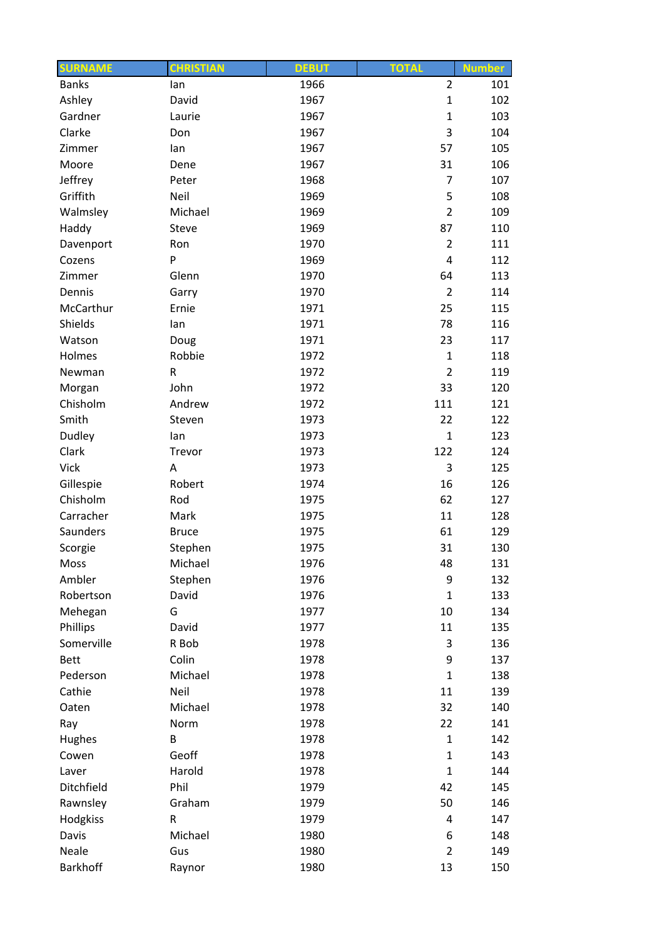| <b>Banks</b><br>$\overline{2}$<br>1966<br>101<br>lan<br>Ashley<br>David<br>1967<br>$\mathbf 1$<br>102<br>$\mathbf{1}$<br>103<br>Gardner<br>1967<br>Laurie<br>3<br>Clarke<br>104<br>Don<br>1967<br>57<br>105<br>1967<br>Zimmer<br>lan<br>31<br>1967<br>106<br>Moore<br>Dene<br>Jeffrey<br>$\overline{7}$<br>107<br>Peter<br>1968<br>5<br>Griffith<br>108<br>Neil<br>1969<br>$\overline{2}$<br>Michael<br>1969<br>109<br>Walmsley<br>87<br>Haddy<br>1969<br>110<br>Steve<br>$\overline{2}$<br>1970<br>111<br>Davenport<br>Ron<br>P<br>1969<br>4<br>112<br>Cozens<br>113<br>Glenn<br>1970<br>64<br>Zimmer<br>1970<br>$\overline{2}$<br>114<br>Dennis<br>Garry<br>25<br>McCarthur<br>1971<br>115<br>Ernie<br>78<br>Shields<br>1971<br>116<br>lan<br>Watson<br>1971<br>23<br>117<br>Doug<br>Robbie<br>Holmes<br>1972<br>$\mathbf 1$<br>118<br>$\overline{2}$<br>R<br>1972<br>119<br>Newman<br>John<br>33<br>1972<br>120<br>Morgan<br>Chisholm<br>111<br>121<br>Andrew<br>1972<br>Smith<br>1973<br>22<br>122<br>Steven<br>123<br>Dudley<br>1973<br>$\mathbf{1}$<br>lan<br>Clark<br>122<br>124<br>Trevor<br>1973<br><b>Vick</b><br>3<br>1973<br>125<br>Α<br>Gillespie<br>16<br>126<br>Robert<br>1974<br>Chisholm<br>62<br>1975<br>127<br>Rod<br>11<br>128<br>Carracher<br>Mark<br>1975<br>Saunders<br>61<br>129<br><b>Bruce</b><br>1975<br>31<br>Stephen<br>1975<br>130<br>Scorgie<br>Michael<br>Moss<br>1976<br>48<br>131<br>Ambler<br>Stephen<br>1976<br>9<br>132<br>$\mathbf{1}$<br>Robertson<br>David<br>1976<br>133<br>G<br>10<br>134<br>Mehegan<br>1977<br>Phillips<br>David<br>11<br>135<br>1977<br>Somerville<br>3<br>136<br>R Bob<br>1978<br>Colin<br>9<br>1978<br><b>Bett</b><br>137<br>Michael<br>$\mathbf{1}$<br>Pederson<br>1978<br>138<br>Neil<br>11<br>Cathie<br>139<br>1978<br>Michael<br>1978<br>32<br>140<br>Oaten<br>22<br>Norm<br>1978<br>141<br>Ray<br>Hughes<br>$\mathbf{1}$<br>B<br>1978<br>142<br>Geoff<br>$\mathbf{1}$<br>Cowen<br>1978<br>143<br>$\mathbf{1}$<br>Harold<br>144<br>Laver<br>1978<br>Phil<br>Ditchfield<br>1979<br>42<br>145<br>50<br>Rawnsley<br>Graham<br>1979<br>146<br>Hodgkiss<br>R<br>1979<br>4<br>147<br>Michael<br>Davis<br>1980<br>6<br>148<br>Neale<br>$\overline{2}$<br>Gus<br>1980<br>149 | <b>SURNAME</b> | <b>CHRISTIAN</b> | <b>DEBUT</b> | <b>TOTAL</b> | <b>Number</b> |
|----------------------------------------------------------------------------------------------------------------------------------------------------------------------------------------------------------------------------------------------------------------------------------------------------------------------------------------------------------------------------------------------------------------------------------------------------------------------------------------------------------------------------------------------------------------------------------------------------------------------------------------------------------------------------------------------------------------------------------------------------------------------------------------------------------------------------------------------------------------------------------------------------------------------------------------------------------------------------------------------------------------------------------------------------------------------------------------------------------------------------------------------------------------------------------------------------------------------------------------------------------------------------------------------------------------------------------------------------------------------------------------------------------------------------------------------------------------------------------------------------------------------------------------------------------------------------------------------------------------------------------------------------------------------------------------------------------------------------------------------------------------------------------------------------------------------------------------------------------------------------------------------------------------------------------------------------------------------------------------------------------------------------------------------------------------------------------------------------------------------------------------------------------------------------------------------------------------------------------------|----------------|------------------|--------------|--------------|---------------|
|                                                                                                                                                                                                                                                                                                                                                                                                                                                                                                                                                                                                                                                                                                                                                                                                                                                                                                                                                                                                                                                                                                                                                                                                                                                                                                                                                                                                                                                                                                                                                                                                                                                                                                                                                                                                                                                                                                                                                                                                                                                                                                                                                                                                                                        |                |                  |              |              |               |
|                                                                                                                                                                                                                                                                                                                                                                                                                                                                                                                                                                                                                                                                                                                                                                                                                                                                                                                                                                                                                                                                                                                                                                                                                                                                                                                                                                                                                                                                                                                                                                                                                                                                                                                                                                                                                                                                                                                                                                                                                                                                                                                                                                                                                                        |                |                  |              |              |               |
|                                                                                                                                                                                                                                                                                                                                                                                                                                                                                                                                                                                                                                                                                                                                                                                                                                                                                                                                                                                                                                                                                                                                                                                                                                                                                                                                                                                                                                                                                                                                                                                                                                                                                                                                                                                                                                                                                                                                                                                                                                                                                                                                                                                                                                        |                |                  |              |              |               |
|                                                                                                                                                                                                                                                                                                                                                                                                                                                                                                                                                                                                                                                                                                                                                                                                                                                                                                                                                                                                                                                                                                                                                                                                                                                                                                                                                                                                                                                                                                                                                                                                                                                                                                                                                                                                                                                                                                                                                                                                                                                                                                                                                                                                                                        |                |                  |              |              |               |
|                                                                                                                                                                                                                                                                                                                                                                                                                                                                                                                                                                                                                                                                                                                                                                                                                                                                                                                                                                                                                                                                                                                                                                                                                                                                                                                                                                                                                                                                                                                                                                                                                                                                                                                                                                                                                                                                                                                                                                                                                                                                                                                                                                                                                                        |                |                  |              |              |               |
|                                                                                                                                                                                                                                                                                                                                                                                                                                                                                                                                                                                                                                                                                                                                                                                                                                                                                                                                                                                                                                                                                                                                                                                                                                                                                                                                                                                                                                                                                                                                                                                                                                                                                                                                                                                                                                                                                                                                                                                                                                                                                                                                                                                                                                        |                |                  |              |              |               |
|                                                                                                                                                                                                                                                                                                                                                                                                                                                                                                                                                                                                                                                                                                                                                                                                                                                                                                                                                                                                                                                                                                                                                                                                                                                                                                                                                                                                                                                                                                                                                                                                                                                                                                                                                                                                                                                                                                                                                                                                                                                                                                                                                                                                                                        |                |                  |              |              |               |
|                                                                                                                                                                                                                                                                                                                                                                                                                                                                                                                                                                                                                                                                                                                                                                                                                                                                                                                                                                                                                                                                                                                                                                                                                                                                                                                                                                                                                                                                                                                                                                                                                                                                                                                                                                                                                                                                                                                                                                                                                                                                                                                                                                                                                                        |                |                  |              |              |               |
|                                                                                                                                                                                                                                                                                                                                                                                                                                                                                                                                                                                                                                                                                                                                                                                                                                                                                                                                                                                                                                                                                                                                                                                                                                                                                                                                                                                                                                                                                                                                                                                                                                                                                                                                                                                                                                                                                                                                                                                                                                                                                                                                                                                                                                        |                |                  |              |              |               |
|                                                                                                                                                                                                                                                                                                                                                                                                                                                                                                                                                                                                                                                                                                                                                                                                                                                                                                                                                                                                                                                                                                                                                                                                                                                                                                                                                                                                                                                                                                                                                                                                                                                                                                                                                                                                                                                                                                                                                                                                                                                                                                                                                                                                                                        |                |                  |              |              |               |
|                                                                                                                                                                                                                                                                                                                                                                                                                                                                                                                                                                                                                                                                                                                                                                                                                                                                                                                                                                                                                                                                                                                                                                                                                                                                                                                                                                                                                                                                                                                                                                                                                                                                                                                                                                                                                                                                                                                                                                                                                                                                                                                                                                                                                                        |                |                  |              |              |               |
|                                                                                                                                                                                                                                                                                                                                                                                                                                                                                                                                                                                                                                                                                                                                                                                                                                                                                                                                                                                                                                                                                                                                                                                                                                                                                                                                                                                                                                                                                                                                                                                                                                                                                                                                                                                                                                                                                                                                                                                                                                                                                                                                                                                                                                        |                |                  |              |              |               |
|                                                                                                                                                                                                                                                                                                                                                                                                                                                                                                                                                                                                                                                                                                                                                                                                                                                                                                                                                                                                                                                                                                                                                                                                                                                                                                                                                                                                                                                                                                                                                                                                                                                                                                                                                                                                                                                                                                                                                                                                                                                                                                                                                                                                                                        |                |                  |              |              |               |
|                                                                                                                                                                                                                                                                                                                                                                                                                                                                                                                                                                                                                                                                                                                                                                                                                                                                                                                                                                                                                                                                                                                                                                                                                                                                                                                                                                                                                                                                                                                                                                                                                                                                                                                                                                                                                                                                                                                                                                                                                                                                                                                                                                                                                                        |                |                  |              |              |               |
|                                                                                                                                                                                                                                                                                                                                                                                                                                                                                                                                                                                                                                                                                                                                                                                                                                                                                                                                                                                                                                                                                                                                                                                                                                                                                                                                                                                                                                                                                                                                                                                                                                                                                                                                                                                                                                                                                                                                                                                                                                                                                                                                                                                                                                        |                |                  |              |              |               |
|                                                                                                                                                                                                                                                                                                                                                                                                                                                                                                                                                                                                                                                                                                                                                                                                                                                                                                                                                                                                                                                                                                                                                                                                                                                                                                                                                                                                                                                                                                                                                                                                                                                                                                                                                                                                                                                                                                                                                                                                                                                                                                                                                                                                                                        |                |                  |              |              |               |
|                                                                                                                                                                                                                                                                                                                                                                                                                                                                                                                                                                                                                                                                                                                                                                                                                                                                                                                                                                                                                                                                                                                                                                                                                                                                                                                                                                                                                                                                                                                                                                                                                                                                                                                                                                                                                                                                                                                                                                                                                                                                                                                                                                                                                                        |                |                  |              |              |               |
|                                                                                                                                                                                                                                                                                                                                                                                                                                                                                                                                                                                                                                                                                                                                                                                                                                                                                                                                                                                                                                                                                                                                                                                                                                                                                                                                                                                                                                                                                                                                                                                                                                                                                                                                                                                                                                                                                                                                                                                                                                                                                                                                                                                                                                        |                |                  |              |              |               |
|                                                                                                                                                                                                                                                                                                                                                                                                                                                                                                                                                                                                                                                                                                                                                                                                                                                                                                                                                                                                                                                                                                                                                                                                                                                                                                                                                                                                                                                                                                                                                                                                                                                                                                                                                                                                                                                                                                                                                                                                                                                                                                                                                                                                                                        |                |                  |              |              |               |
|                                                                                                                                                                                                                                                                                                                                                                                                                                                                                                                                                                                                                                                                                                                                                                                                                                                                                                                                                                                                                                                                                                                                                                                                                                                                                                                                                                                                                                                                                                                                                                                                                                                                                                                                                                                                                                                                                                                                                                                                                                                                                                                                                                                                                                        |                |                  |              |              |               |
|                                                                                                                                                                                                                                                                                                                                                                                                                                                                                                                                                                                                                                                                                                                                                                                                                                                                                                                                                                                                                                                                                                                                                                                                                                                                                                                                                                                                                                                                                                                                                                                                                                                                                                                                                                                                                                                                                                                                                                                                                                                                                                                                                                                                                                        |                |                  |              |              |               |
|                                                                                                                                                                                                                                                                                                                                                                                                                                                                                                                                                                                                                                                                                                                                                                                                                                                                                                                                                                                                                                                                                                                                                                                                                                                                                                                                                                                                                                                                                                                                                                                                                                                                                                                                                                                                                                                                                                                                                                                                                                                                                                                                                                                                                                        |                |                  |              |              |               |
|                                                                                                                                                                                                                                                                                                                                                                                                                                                                                                                                                                                                                                                                                                                                                                                                                                                                                                                                                                                                                                                                                                                                                                                                                                                                                                                                                                                                                                                                                                                                                                                                                                                                                                                                                                                                                                                                                                                                                                                                                                                                                                                                                                                                                                        |                |                  |              |              |               |
|                                                                                                                                                                                                                                                                                                                                                                                                                                                                                                                                                                                                                                                                                                                                                                                                                                                                                                                                                                                                                                                                                                                                                                                                                                                                                                                                                                                                                                                                                                                                                                                                                                                                                                                                                                                                                                                                                                                                                                                                                                                                                                                                                                                                                                        |                |                  |              |              |               |
|                                                                                                                                                                                                                                                                                                                                                                                                                                                                                                                                                                                                                                                                                                                                                                                                                                                                                                                                                                                                                                                                                                                                                                                                                                                                                                                                                                                                                                                                                                                                                                                                                                                                                                                                                                                                                                                                                                                                                                                                                                                                                                                                                                                                                                        |                |                  |              |              |               |
|                                                                                                                                                                                                                                                                                                                                                                                                                                                                                                                                                                                                                                                                                                                                                                                                                                                                                                                                                                                                                                                                                                                                                                                                                                                                                                                                                                                                                                                                                                                                                                                                                                                                                                                                                                                                                                                                                                                                                                                                                                                                                                                                                                                                                                        |                |                  |              |              |               |
|                                                                                                                                                                                                                                                                                                                                                                                                                                                                                                                                                                                                                                                                                                                                                                                                                                                                                                                                                                                                                                                                                                                                                                                                                                                                                                                                                                                                                                                                                                                                                                                                                                                                                                                                                                                                                                                                                                                                                                                                                                                                                                                                                                                                                                        |                |                  |              |              |               |
|                                                                                                                                                                                                                                                                                                                                                                                                                                                                                                                                                                                                                                                                                                                                                                                                                                                                                                                                                                                                                                                                                                                                                                                                                                                                                                                                                                                                                                                                                                                                                                                                                                                                                                                                                                                                                                                                                                                                                                                                                                                                                                                                                                                                                                        |                |                  |              |              |               |
|                                                                                                                                                                                                                                                                                                                                                                                                                                                                                                                                                                                                                                                                                                                                                                                                                                                                                                                                                                                                                                                                                                                                                                                                                                                                                                                                                                                                                                                                                                                                                                                                                                                                                                                                                                                                                                                                                                                                                                                                                                                                                                                                                                                                                                        |                |                  |              |              |               |
|                                                                                                                                                                                                                                                                                                                                                                                                                                                                                                                                                                                                                                                                                                                                                                                                                                                                                                                                                                                                                                                                                                                                                                                                                                                                                                                                                                                                                                                                                                                                                                                                                                                                                                                                                                                                                                                                                                                                                                                                                                                                                                                                                                                                                                        |                |                  |              |              |               |
|                                                                                                                                                                                                                                                                                                                                                                                                                                                                                                                                                                                                                                                                                                                                                                                                                                                                                                                                                                                                                                                                                                                                                                                                                                                                                                                                                                                                                                                                                                                                                                                                                                                                                                                                                                                                                                                                                                                                                                                                                                                                                                                                                                                                                                        |                |                  |              |              |               |
|                                                                                                                                                                                                                                                                                                                                                                                                                                                                                                                                                                                                                                                                                                                                                                                                                                                                                                                                                                                                                                                                                                                                                                                                                                                                                                                                                                                                                                                                                                                                                                                                                                                                                                                                                                                                                                                                                                                                                                                                                                                                                                                                                                                                                                        |                |                  |              |              |               |
|                                                                                                                                                                                                                                                                                                                                                                                                                                                                                                                                                                                                                                                                                                                                                                                                                                                                                                                                                                                                                                                                                                                                                                                                                                                                                                                                                                                                                                                                                                                                                                                                                                                                                                                                                                                                                                                                                                                                                                                                                                                                                                                                                                                                                                        |                |                  |              |              |               |
|                                                                                                                                                                                                                                                                                                                                                                                                                                                                                                                                                                                                                                                                                                                                                                                                                                                                                                                                                                                                                                                                                                                                                                                                                                                                                                                                                                                                                                                                                                                                                                                                                                                                                                                                                                                                                                                                                                                                                                                                                                                                                                                                                                                                                                        |                |                  |              |              |               |
|                                                                                                                                                                                                                                                                                                                                                                                                                                                                                                                                                                                                                                                                                                                                                                                                                                                                                                                                                                                                                                                                                                                                                                                                                                                                                                                                                                                                                                                                                                                                                                                                                                                                                                                                                                                                                                                                                                                                                                                                                                                                                                                                                                                                                                        |                |                  |              |              |               |
|                                                                                                                                                                                                                                                                                                                                                                                                                                                                                                                                                                                                                                                                                                                                                                                                                                                                                                                                                                                                                                                                                                                                                                                                                                                                                                                                                                                                                                                                                                                                                                                                                                                                                                                                                                                                                                                                                                                                                                                                                                                                                                                                                                                                                                        |                |                  |              |              |               |
|                                                                                                                                                                                                                                                                                                                                                                                                                                                                                                                                                                                                                                                                                                                                                                                                                                                                                                                                                                                                                                                                                                                                                                                                                                                                                                                                                                                                                                                                                                                                                                                                                                                                                                                                                                                                                                                                                                                                                                                                                                                                                                                                                                                                                                        |                |                  |              |              |               |
|                                                                                                                                                                                                                                                                                                                                                                                                                                                                                                                                                                                                                                                                                                                                                                                                                                                                                                                                                                                                                                                                                                                                                                                                                                                                                                                                                                                                                                                                                                                                                                                                                                                                                                                                                                                                                                                                                                                                                                                                                                                                                                                                                                                                                                        |                |                  |              |              |               |
|                                                                                                                                                                                                                                                                                                                                                                                                                                                                                                                                                                                                                                                                                                                                                                                                                                                                                                                                                                                                                                                                                                                                                                                                                                                                                                                                                                                                                                                                                                                                                                                                                                                                                                                                                                                                                                                                                                                                                                                                                                                                                                                                                                                                                                        |                |                  |              |              |               |
|                                                                                                                                                                                                                                                                                                                                                                                                                                                                                                                                                                                                                                                                                                                                                                                                                                                                                                                                                                                                                                                                                                                                                                                                                                                                                                                                                                                                                                                                                                                                                                                                                                                                                                                                                                                                                                                                                                                                                                                                                                                                                                                                                                                                                                        |                |                  |              |              |               |
|                                                                                                                                                                                                                                                                                                                                                                                                                                                                                                                                                                                                                                                                                                                                                                                                                                                                                                                                                                                                                                                                                                                                                                                                                                                                                                                                                                                                                                                                                                                                                                                                                                                                                                                                                                                                                                                                                                                                                                                                                                                                                                                                                                                                                                        |                |                  |              |              |               |
|                                                                                                                                                                                                                                                                                                                                                                                                                                                                                                                                                                                                                                                                                                                                                                                                                                                                                                                                                                                                                                                                                                                                                                                                                                                                                                                                                                                                                                                                                                                                                                                                                                                                                                                                                                                                                                                                                                                                                                                                                                                                                                                                                                                                                                        |                |                  |              |              |               |
|                                                                                                                                                                                                                                                                                                                                                                                                                                                                                                                                                                                                                                                                                                                                                                                                                                                                                                                                                                                                                                                                                                                                                                                                                                                                                                                                                                                                                                                                                                                                                                                                                                                                                                                                                                                                                                                                                                                                                                                                                                                                                                                                                                                                                                        |                |                  |              |              |               |
|                                                                                                                                                                                                                                                                                                                                                                                                                                                                                                                                                                                                                                                                                                                                                                                                                                                                                                                                                                                                                                                                                                                                                                                                                                                                                                                                                                                                                                                                                                                                                                                                                                                                                                                                                                                                                                                                                                                                                                                                                                                                                                                                                                                                                                        |                |                  |              |              |               |
|                                                                                                                                                                                                                                                                                                                                                                                                                                                                                                                                                                                                                                                                                                                                                                                                                                                                                                                                                                                                                                                                                                                                                                                                                                                                                                                                                                                                                                                                                                                                                                                                                                                                                                                                                                                                                                                                                                                                                                                                                                                                                                                                                                                                                                        |                |                  |              |              |               |
|                                                                                                                                                                                                                                                                                                                                                                                                                                                                                                                                                                                                                                                                                                                                                                                                                                                                                                                                                                                                                                                                                                                                                                                                                                                                                                                                                                                                                                                                                                                                                                                                                                                                                                                                                                                                                                                                                                                                                                                                                                                                                                                                                                                                                                        |                |                  |              |              |               |
|                                                                                                                                                                                                                                                                                                                                                                                                                                                                                                                                                                                                                                                                                                                                                                                                                                                                                                                                                                                                                                                                                                                                                                                                                                                                                                                                                                                                                                                                                                                                                                                                                                                                                                                                                                                                                                                                                                                                                                                                                                                                                                                                                                                                                                        |                |                  |              |              |               |
|                                                                                                                                                                                                                                                                                                                                                                                                                                                                                                                                                                                                                                                                                                                                                                                                                                                                                                                                                                                                                                                                                                                                                                                                                                                                                                                                                                                                                                                                                                                                                                                                                                                                                                                                                                                                                                                                                                                                                                                                                                                                                                                                                                                                                                        |                |                  |              |              |               |
|                                                                                                                                                                                                                                                                                                                                                                                                                                                                                                                                                                                                                                                                                                                                                                                                                                                                                                                                                                                                                                                                                                                                                                                                                                                                                                                                                                                                                                                                                                                                                                                                                                                                                                                                                                                                                                                                                                                                                                                                                                                                                                                                                                                                                                        |                |                  |              |              |               |
|                                                                                                                                                                                                                                                                                                                                                                                                                                                                                                                                                                                                                                                                                                                                                                                                                                                                                                                                                                                                                                                                                                                                                                                                                                                                                                                                                                                                                                                                                                                                                                                                                                                                                                                                                                                                                                                                                                                                                                                                                                                                                                                                                                                                                                        | Barkhoff       | Raynor           | 1980         | 13           | 150           |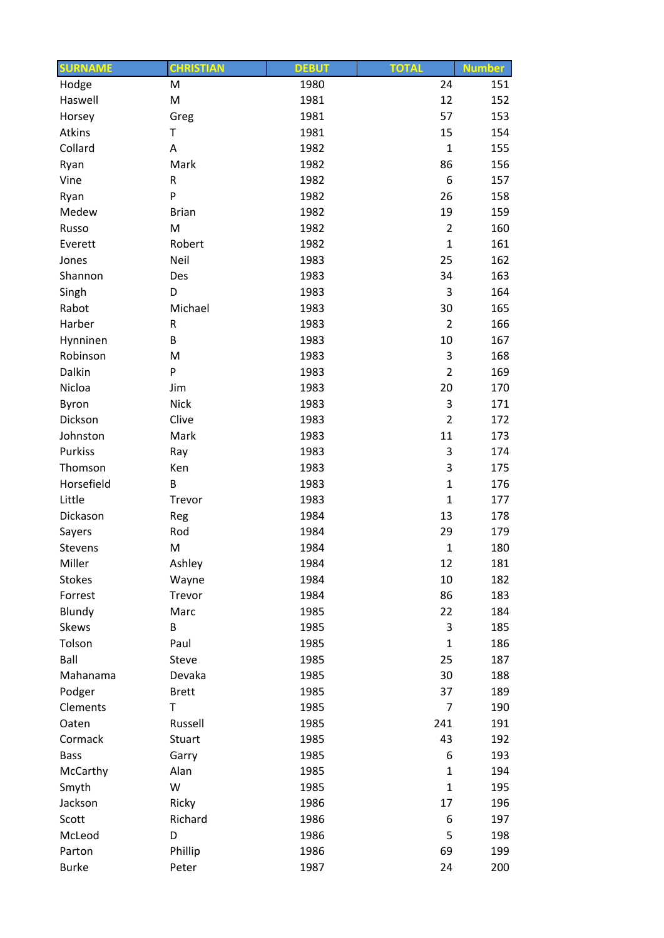| <b>SURNAME</b>  | <b>CHRISTIAN</b>     | <b>DEBUT</b> | <b>TOTAL</b>   | <b>Number</b> |
|-----------------|----------------------|--------------|----------------|---------------|
| Hodge           | M                    | 1980         | 24             | 151           |
| Haswell         | M                    | 1981         | 12             | 152           |
| Horsey          | Greg                 | 1981         | 57             | 153           |
| Atkins          | Τ                    | 1981         | 15             | 154           |
| Collard         | Α                    | 1982         | $\mathbf 1$    | 155           |
| Ryan            | Mark                 | 1982         | 86             | 156           |
| Vine            | R                    | 1982         | 6              | 157           |
| Ryan            | P                    | 1982         | 26             | 158           |
| Medew           | <b>Brian</b>         | 1982         | 19             | 159           |
| Russo           | M                    | 1982         | $\overline{2}$ | 160           |
| Everett         | Robert               | 1982         | $\mathbf{1}$   | 161           |
| Jones           | Neil                 | 1983         | 25             | 162           |
| Shannon         | Des                  | 1983         | 34             | 163           |
| Singh           | D                    | 1983         | 3              | 164           |
| Rabot           | Michael              | 1983         | 30             | 165           |
| Harber          | R                    | 1983         | $\overline{2}$ | 166           |
| Hynninen        | B                    | 1983         | 10             | 167           |
| Robinson        | M                    | 1983         | 3              | 168           |
| Dalkin          | P                    | 1983         | $\overline{2}$ | 169           |
| Nicloa          | Jim                  | 1983         | 20             | 170           |
| Byron           | <b>Nick</b>          | 1983         | 3              | 171           |
| Dickson         | Clive                | 1983         | $\overline{2}$ | 172           |
| Johnston        | Mark                 | 1983         | 11             | 173           |
| Purkiss         | Ray                  | 1983         | 3              | 174           |
| Thomson         | Ken                  | 1983         | 3              | 175           |
| Horsefield      | B                    | 1983         | $\mathbf{1}$   | 176           |
| Little          | Trevor               | 1983         | $\mathbf 1$    | 177           |
| Dickason        | Reg                  | 1984         | 13             | 178           |
| Sayers          | Rod                  | 1984         | 29             | 179           |
| Stevens         | M                    | 1984         | $\mathbf 1$    | 180           |
| Miller          | Ashley               | 1984         | 12             | 181           |
| <b>Stokes</b>   |                      | 1984         | 10             | 182           |
|                 | Wayne                | 1984         | 86             | 183           |
| Forrest         | Trevor<br>Marc       |              | 22             | 184           |
| Blundy<br>Skews | B                    | 1985         | 3              | 185           |
|                 |                      | 1985         | $\mathbf{1}$   |               |
| Tolson          | Paul<br><b>Steve</b> | 1985         |                | 186           |
| Ball            |                      | 1985         | 25             | 187           |
| Mahanama        | Devaka               | 1985         | 30             | 188           |
| Podger          | <b>Brett</b>         | 1985         | 37             | 189           |
| Clements        | T                    | 1985         | 7              | 190           |
| Oaten           | Russell              | 1985         | 241            | 191           |
| Cormack         | Stuart               | 1985         | 43             | 192           |
| <b>Bass</b>     | Garry                | 1985         | 6              | 193           |
| McCarthy        | Alan                 | 1985         | $\mathbf{1}$   | 194           |
| Smyth           | W                    | 1985         | $\mathbf{1}$   | 195           |
| Jackson         | Ricky                | 1986         | 17             | 196           |
| Scott           | Richard              | 1986         | 6              | 197           |
| McLeod          | D                    | 1986         | 5              | 198           |
| Parton          | Phillip              | 1986         | 69             | 199           |
| <b>Burke</b>    | Peter                | 1987         | 24             | 200           |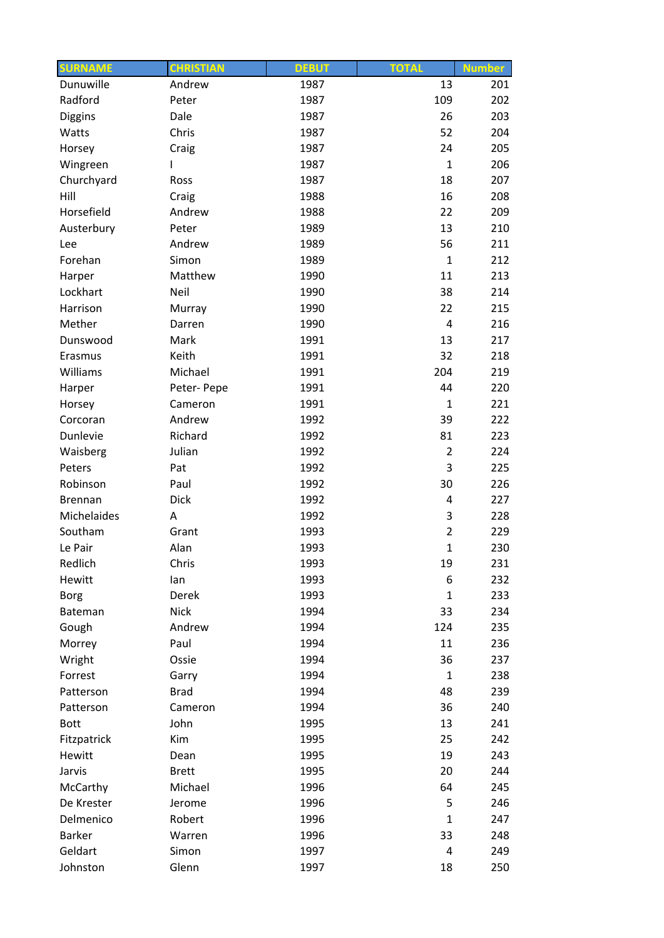| <b>SURNAME</b> | <b>CHRISTIAN</b> | <b>DEBUT</b> | <b>TOTAL</b>   | <b>Number</b> |
|----------------|------------------|--------------|----------------|---------------|
| Dunuwille      | Andrew           | 1987         | 13             | 201           |
| Radford        | Peter            | 1987         | 109            | 202           |
| <b>Diggins</b> | Dale             | 1987         | 26             | 203           |
| Watts          | Chris            | 1987         | 52             | 204           |
| Horsey         | Craig            | 1987         | 24             | 205           |
| Wingreen       | L                | 1987         | $\mathbf{1}$   | 206           |
| Churchyard     | Ross             | 1987         | 18             | 207           |
| Hill           | Craig            | 1988         | 16             | 208           |
| Horsefield     | Andrew           | 1988         | 22             | 209           |
| Austerbury     | Peter            | 1989         | 13             | 210           |
| Lee            | Andrew           | 1989         | 56             | 211           |
| Forehan        | Simon            | 1989         | $\mathbf{1}$   | 212           |
| Harper         | Matthew          | 1990         | 11             | 213           |
| Lockhart       | Neil             | 1990         | 38             | 214           |
| Harrison       | Murray           | 1990         | 22             | 215           |
| Mether         | Darren           | 1990         | 4              | 216           |
| Dunswood       | Mark             | 1991         | 13             | 217           |
| Erasmus        | Keith            | 1991         | 32             | 218           |
| Williams       | Michael          | 1991         | 204            | 219           |
| Harper         | Peter-Pepe       | 1991         | 44             | 220           |
| Horsey         | Cameron          | 1991         | $\mathbf{1}$   | 221           |
| Corcoran       | Andrew           | 1992         | 39             | 222           |
| Dunlevie       | Richard          | 1992         | 81             | 223           |
| Waisberg       | Julian           | 1992         | $\overline{2}$ | 224           |
| Peters         | Pat              | 1992         | 3              | 225           |
| Robinson       | Paul             | 1992         | 30             | 226           |
| Brennan        | <b>Dick</b>      | 1992         | 4              | 227           |
| Michelaides    | A                | 1992         | 3              | 228           |
| Southam        | Grant            |              | $\overline{2}$ | 229           |
|                | Alan             | 1993         | $\mathbf 1$    |               |
| Le Pair        |                  | 1993         |                | 230           |
| Redlich        | Chris            | 1993         | 19             | 231           |
| Hewitt         | lan              | 1993         | 6              | 232           |
| <b>Borg</b>    | Derek            | 1993         | $\mathbf{1}$   | 233           |
| Bateman        | <b>Nick</b>      | 1994         | 33             | 234           |
| Gough          | Andrew           | 1994         | 124            | 235           |
| Morrey         | Paul             | 1994         | 11             | 236           |
| Wright         | Ossie            | 1994         | 36             | 237           |
| Forrest        | Garry            | 1994         | $\mathbf{1}$   | 238           |
| Patterson      | <b>Brad</b>      | 1994         | 48             | 239           |
| Patterson      | Cameron          | 1994         | 36             | 240           |
| <b>Bott</b>    | John             | 1995         | 13             | 241           |
| Fitzpatrick    | Kim              | 1995         | 25             | 242           |
| Hewitt         | Dean             | 1995         | 19             | 243           |
| Jarvis         | <b>Brett</b>     | 1995         | 20             | 244           |
| McCarthy       | Michael          | 1996         | 64             | 245           |
| De Krester     | Jerome           | 1996         | 5              | 246           |
| Delmenico      | Robert           | 1996         | $\mathbf{1}$   | 247           |
| <b>Barker</b>  | Warren           | 1996         | 33             | 248           |
| Geldart        | Simon            | 1997         | $\overline{4}$ | 249           |
| Johnston       | Glenn            | 1997         | 18             | 250           |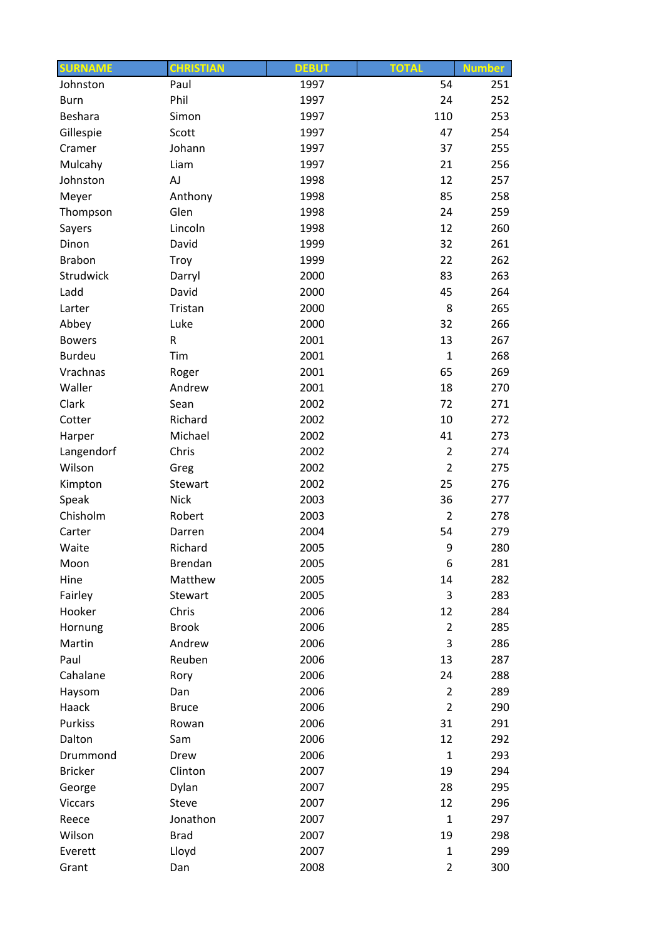| <b>SURNAME</b> | <b>CHRISTIAN</b> | <b>DEBUT</b> | <b>TOTAL</b>         | <b>Number</b> |
|----------------|------------------|--------------|----------------------|---------------|
| Johnston       | Paul             | 1997         | 54                   | 251           |
| <b>Burn</b>    | Phil             | 1997         | 24                   | 252           |
| Beshara        | Simon            | 1997         | 110                  | 253           |
| Gillespie      | Scott            | 1997         | 47                   | 254           |
| Cramer         | Johann           | 1997         | 37                   | 255           |
| Mulcahy        | Liam             | 1997         | 21                   | 256           |
| Johnston       | AJ               | 1998         | 12                   | 257           |
| Meyer          | Anthony          | 1998         | 85                   | 258           |
| Thompson       | Glen             | 1998         | 24                   | 259           |
| Sayers         | Lincoln          | 1998         | 12                   | 260           |
| Dinon          | David            | 1999         | 32                   | 261           |
| <b>Brabon</b>  | Troy             | 1999         | 22                   | 262           |
| Strudwick      | Darryl           | 2000         | 83                   | 263           |
| Ladd           | David            | 2000         | 45                   | 264           |
| Larter         | Tristan          | 2000         | 8                    | 265           |
| Abbey          | Luke             | 2000         | 32                   | 266           |
| <b>Bowers</b>  | R                | 2001         | 13                   | 267           |
| <b>Burdeu</b>  | Tim              | 2001         | $\mathbf{1}$         | 268           |
| Vrachnas       | Roger            | 2001         | 65                   | 269           |
| Waller         | Andrew           | 2001         | 18                   | 270           |
| Clark          | Sean             | 2002         | 72                   | 271           |
| Cotter         | Richard          | 2002         | 10                   | 272           |
| Harper         | Michael          | 2002         | 41                   | 273           |
| Langendorf     | Chris            | 2002         | $\overline{2}$       | 274           |
| Wilson         | Greg             | 2002         | $\overline{2}$       | 275           |
| Kimpton        | Stewart          | 2002         | 25                   | 276           |
| Speak          | <b>Nick</b>      | 2003         | 36                   | 277           |
| Chisholm       | Robert           | 2003         | $\overline{2}$       | 278           |
| Carter         | Darren           | 2004         | 54                   | 279           |
| Waite          | Richard          | 2005         | 9                    | 280           |
| Moon           | Brendan          | 2005         | 6                    | 281           |
| Hine           | Matthew          | 2005         | 14                   | 282           |
| Fairley        | Stewart          | 2005         | 3                    | 283           |
| Hooker         | Chris            | 2006         | 12                   | 284           |
| Hornung        | <b>Brook</b>     | 2006         | $\overline{2}$       | 285           |
| Martin         | Andrew           | 2006         | 3                    | 286           |
| Paul           | Reuben           | 2006         | 13                   | 287           |
| Cahalane       |                  | 2006         | 24                   | 288           |
| Haysom         | Rory<br>Dan      | 2006         | $\overline{2}$       | 289           |
|                |                  |              |                      |               |
| Haack          | <b>Bruce</b>     | 2006         | $\overline{2}$<br>31 | 290           |
| Purkiss        | Rowan            | 2006         |                      | 291           |
| Dalton         | Sam              | 2006         | 12                   | 292           |
| Drummond       | Drew             | 2006         | $\mathbf{1}$         | 293           |
| <b>Bricker</b> | Clinton          | 2007         | 19                   | 294           |
| George         | Dylan            | 2007         | 28                   | 295           |
| <b>Viccars</b> | Steve            | 2007         | 12                   | 296           |
| Reece          | Jonathon         | 2007         | $\mathbf{1}$         | 297           |
| Wilson         | <b>Brad</b>      | 2007         | 19                   | 298           |
| Everett        | Lloyd            | 2007         | $\mathbf{1}$         | 299           |
| Grant          | Dan              | 2008         | $\overline{2}$       | 300           |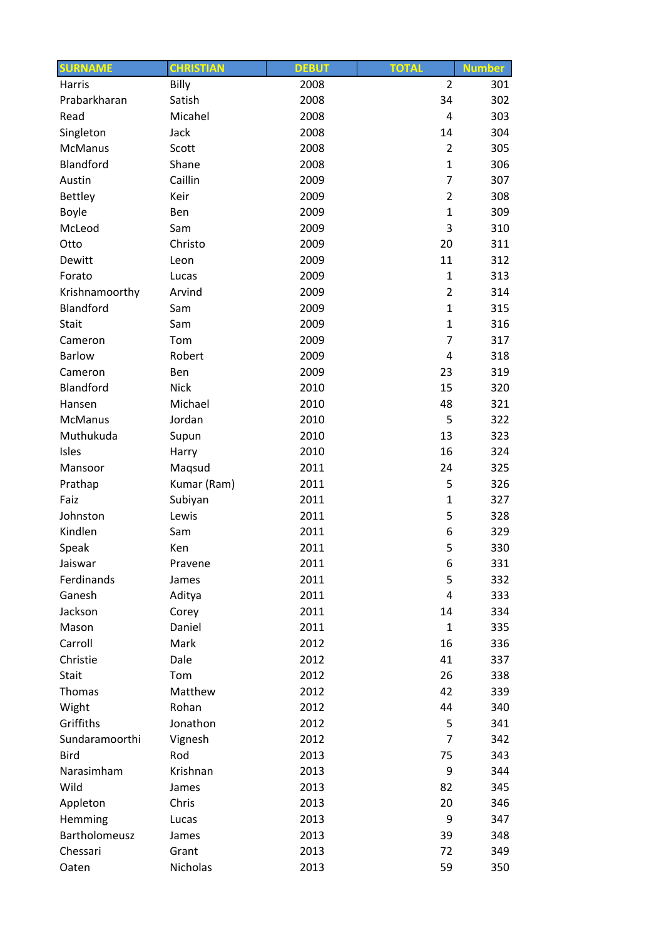| <b>SURNAME</b> | <b>CHRISTIAN</b> | <b>DEBUT</b> | <b>TOTAL</b>   | <b>Number</b> |
|----------------|------------------|--------------|----------------|---------------|
| Harris         | Billy            | 2008         | $\overline{2}$ | 301           |
| Prabarkharan   | Satish           | 2008         | 34             | 302           |
| Read           | Micahel          | 2008         | $\overline{4}$ | 303           |
| Singleton      | Jack             | 2008         | 14             | 304           |
| <b>McManus</b> | Scott            | 2008         | $\overline{2}$ | 305           |
| Blandford      | Shane            | 2008         | $\mathbf{1}$   | 306           |
| Austin         | Caillin          | 2009         | $\overline{7}$ | 307           |
| <b>Bettley</b> | Keir             | 2009         | $\overline{2}$ | 308           |
| Boyle          | Ben              | 2009         | $\mathbf{1}$   | 309           |
| McLeod         | Sam              | 2009         | 3              | 310           |
| Otto           | Christo          | 2009         | 20             | 311           |
| Dewitt         | Leon             | 2009         | 11             | 312           |
| Forato         | Lucas            | 2009         | $\mathbf{1}$   | 313           |
| Krishnamoorthy | Arvind           | 2009         | $\overline{2}$ | 314           |
| Blandford      | Sam              | 2009         | $\mathbf{1}$   | 315           |
| Stait          | Sam              | 2009         | $\mathbf{1}$   | 316           |
| Cameron        | Tom              | 2009         | $\overline{7}$ | 317           |
| <b>Barlow</b>  | Robert           | 2009         | $\overline{4}$ | 318           |
| Cameron        | Ben              | 2009         | 23             | 319           |
| Blandford      | <b>Nick</b>      | 2010         | 15             | 320           |
| Hansen         | Michael          | 2010         | 48             | 321           |
| <b>McManus</b> | Jordan           | 2010         | 5              | 322           |
| Muthukuda      | Supun            | 2010         | 13             | 323           |
| Isles          | Harry            | 2010         | 16             | 324           |
| Mansoor        | Maqsud           | 2011         | 24             | 325           |
| Prathap        | Kumar (Ram)      | 2011         | 5              | 326           |
| Faiz           | Subiyan          | 2011         | $\mathbf{1}$   | 327           |
| Johnston       | Lewis            | 2011         | 5              | 328           |
| Kindlen        | Sam              | 2011         | 6              | 329           |
| Speak          | Ken              | 2011         | 5              | 330           |
| Jaiswar        | Pravene          | 2011         | 6              | 331           |
| Ferdinands     |                  | 2011         | 5              | 332           |
| Ganesh         | James            | 2011         | 4              | 333           |
|                | Aditya           |              |                |               |
| Jackson        | Corey<br>Daniel  | 2011         | 14             | 334           |
| Mason          |                  | 2011         | $\mathbf{1}$   | 335           |
| Carroll        | Mark             | 2012         | 16             | 336           |
| Christie       | Dale             | 2012         | 41             | 337           |
| Stait          | Tom              | 2012         | 26<br>42       | 338           |
| Thomas         | Matthew          | 2012         |                | 339           |
| Wight          | Rohan            | 2012         | 44             | 340           |
| Griffiths      | Jonathon         | 2012         | 5              | 341           |
| Sundaramoorthi | Vignesh          | 2012         | 7              | 342           |
| <b>Bird</b>    | Rod              | 2013         | 75             | 343           |
| Narasimham     | Krishnan         | 2013         | 9              | 344           |
| Wild           | James            | 2013         | 82             | 345           |
| Appleton       | Chris            | 2013         | 20             | 346           |
| Hemming        | Lucas            | 2013         | 9              | 347           |
| Bartholomeusz  | James            | 2013         | 39             | 348           |
| Chessari       | Grant            | 2013         | 72             | 349           |
| Oaten          | Nicholas         | 2013         | 59             | 350           |